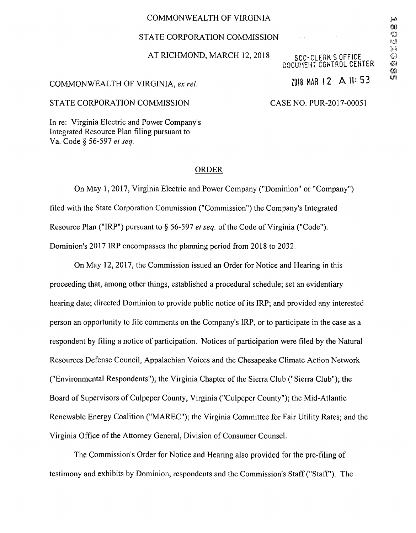## COMMONWEALTH OF VIRGINIA

## STATE CORPORATION COMMISSION

### AT RICHMOND, MARCH 12, 2018

# **SCC-CLERK'S OFFICE** DOCUMENT CONTROL CENTER

# COMMONWEALTH OF VIRGINIA, ex rel.  $\frac{1}{2}$  and  $\frac{1}{8}$  MAR 12 A II: 53

### STATE CORPORATION COMMISSION CASE NO. PUR-2017-00051

 $\sim$ 

In re: Virginia Electric and Power Company's Integrated Resource Plan filing pursuant to Va. Code § 56-597 et seq.

#### ORDER

On May 1, 2017, Virginia Electric and Power Company ("Dominion" or "Company") filed with the State Corporation Commission ("Commission") the Company's Integrated Resource Plan ("IRP") pursuant to § 56-597 et seq. of the Code of Virginia ("Code"). Dominion's 2017 IRP encompasses the planning period from 2018 to 2032.

On May 12, 2017, the Commission issued an Order for Notice and Hearing in this proceeding that, among other things, established a procedural schedule; set an evidentiary hearing date; directed Dominion to provide public notice of its IRP; and provided any interested person an opportunity to file comments on the Company's IRP, or to participate in the case as a respondent by filing a notice of participation. Notices of participation were filed by the Natural Resources Defense Council, Appalachian Voices and the Chesapeake Climate Action Network ("Environmental Respondents"); the Virginia Chapter of the Sierra Club ("Sierra Club"); the Board of Supervisors of Culpeper County, Virginia ("Culpeper County"); the Mid-Atlantic Renewable Energy Coalition ("MAREC"); the Virginia Committee for Fair Utility Rates; and the Virginia Office of the Attorney General, Division of Consumer Counsel.

The Commission's Order for Notice and Hearing also provided for the pre-filing of testimony and exhibits by Dominion, respondents and the Commission's Staff ("Staff'). The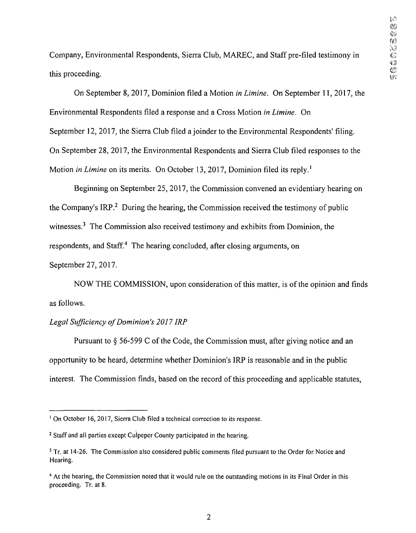Company, Environmental Respondents, Sierra Club, MAREC, and Staff pre-filed testimony in © this proceeding.

On September 8, 2017, Dominion filed a Motion in Limine. On September 11, 2017, the Environmental Respondents filed a response and a Cross Motion in Limine. On September 12, 2017, the Sierra Club filed a joinder to the Environmental Respondents' filing. On September 28, 2017, the Environmental Respondents and Sierra Club filed responses to the Motion *in Limine* on its merits. On October 13, 2017, Dominion filed its reply.<sup>1</sup>

Beginning on September 25, 2017, the Commission convened an evidentiary hearing on the Company's IRP<sup>2</sup> During the hearing, the Commission received the testimony of public witnesses.<sup>3</sup> The Commission also received testimony and exhibits from Dominion, the respondents, and Staff.<sup>4</sup> The hearing concluded, after closing arguments, on September 27, 2017.

NOW THE COMMISSION, upon consideration of this matter, is of the opinion and finds as follows.

# Legal Sufficiency of Dominion's 2017 IRP

Pursuant to § 56-599 C of the Code, the Commission must, after giving notice and an opportunity to be heard, determine whether Dominion's IRP is reasonable and in the public interest. The Commission finds, based on the record of this proceeding and applicable statutes,

<sup>&</sup>lt;sup>1</sup> On October 16, 2017, Sierra Club filed a technical correction to its response.

<sup>2</sup> Staff and all parties except Culpeper County participated in the hearing.

<sup>&</sup>lt;sup>3</sup> Tr. at 14-26. The Commission also considered public comments filed pursuant to the Order for Notice and Hearing.

<sup>&</sup>lt;sup>4</sup> At the hearing, the Commission noted that it would rule on the outstanding motions in its Final Order in this proceeding. Tr. at 8.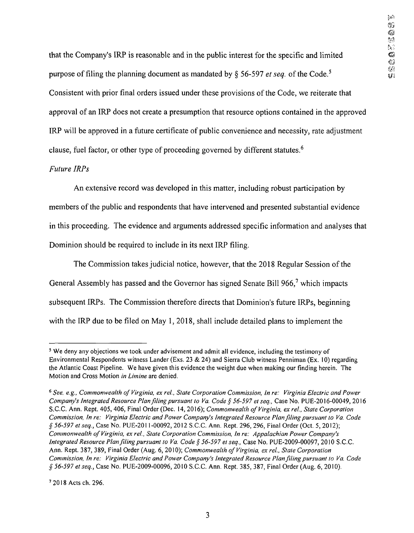that the Company's IRP is reasonable and in the public interest for the specific and limited  $\Box$ purpose of filing the planning document as mandated by § 56-597 et seq. of the Code.<sup>5</sup> Consistent with prior final orders issued under these provisions of the Code, we reiterate that approval of an IRP does not create a presumption that resource options contained in the approved IRP will be approved in a future certificate of public convenience and necessity, rate adjustment clause, fuel factor, or other type of proceeding governed by different statutes.6

# Future IRPs

An extensive record was developed in this matter, including robust participation by members of the public and respondents that have intervened and presented substantial evidence in this proceeding. The evidence and arguments addressed specific information and analyses that Dominion should be required to include in its next IRP filing.

The Commission takes judicial notice, however, that the 2018 Regular Session of the General Assembly has passed and the Governor has signed Senate Bill 966,<sup>7</sup> which impacts subsequent IRPs. The Commission therefore directs that Dominion's future IRPs, beginning with the IRP due to be filed on May 1, 2018, shall include detailed plans to implement the

7 2018 Acts ch. 296.

<sup>5</sup> We deny any objections we took under advisement and admit all evidence, including the testimony of Environmental Respondents witness Lander (Exs. 23 & 24) and Sierra Club witness Penniman (Ex. 10) regarding the Atlantic Coast Pipeline. We have given this evidence the weight due when making our finding herein. The Motion and Cross Motion in Limine are denied.

<sup>&</sup>lt;sup>6</sup> See, e.g., Commonwealth of Virginia, ex rel., State Corporation Commission, In re: Virginia Electric and Power Company's Integrated Resource Plan fling pursuant to Va. Code § 56-597 et seq., Case No. PUE-2016-00049, 2016 S.C.C. Ann. Rept. 405, 406, Final Order (Dec. 14, 2016); Commonwealth of Virginia, ex rel., State Corporation Commission, In re: Virginia Electric and Power Company's Integrated Resource Plan filing pursuant to Va. Code § 56-597 et seq.. Case No. PUE-2011-00092, 2012 S.C.C. Ann. Rept. 296, 296, Final Order (Oct. 5, 2012); Commonwealth of Virginia, ex re!., State Corporation Commission, In re: Appalachian Power Company's Integrated Resource Plan fling pursuant to Va. Code § 56-597 et seq., Case No. PUE-2009-00097, 2010 S.C.C. Ann. Rept. 387, 389, Final Order (Aug. 6, 2010); Commonwealth of Virginia, ex rel., State Corporation Commission, In re: Virginia Electric and Power Company's Integrated Resource Plan fling pursuant to Va. Code § 56-597 etseq., Case No. PUE-2009-00096, 2010 S.C.C. Ann. Rept. 385, 387, Final Order (Aug. 6, 2010).